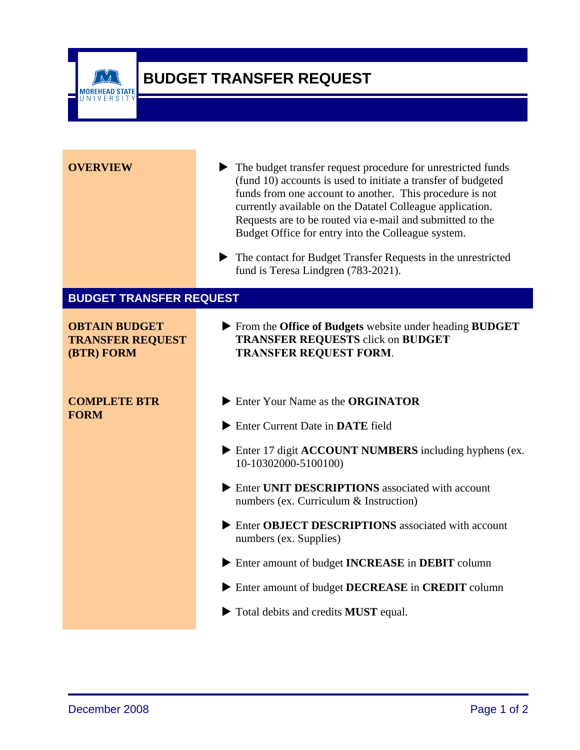

**OVERVIEW** The budget transfer request procedure for unrestricted funds (fund 10) accounts is used to initiate a transfer of budgeted funds from one account to another. This procedure is not currently available on the Datatel Colleague application. Requests are to be routed via e-mail and submitted to the Budget Office for entry into the Colleague system.

> $\blacktriangleright$  The contact for Budget Transfer Requests in the unrestricted fund is Teresa Lindgren (783-2021).

## **BUDGET TRANSFER REQUEST**

**OBTAIN BUDGET TRANSFER REQUEST (BTR) FORM** 

## **COMPLETE BTR FORM**

- X From the **Office of Budgets** website under heading **BUDGET TRANSFER REQUESTS** click on **BUDGET TRANSFER REQUEST FORM**.
- Enter Your Name as the **ORGINATOR**
- ▶ Enter Current Date in **DATE** field
- Enter 17 digit **ACCOUNT NUMBERS** including hyphens (ex. 10-10302000-5100100)
- $\triangleright$  Enter **UNIT DESCRIPTIONS** associated with account numbers (ex. Curriculum & Instruction)
- $\triangleright$  Enter **OBJECT DESCRIPTIONS** associated with account numbers (ex. Supplies)
- X Enter amount of budget **INCREASE** in **DEBIT** column
- X Enter amount of budget **DECREASE** in **CREDIT** column
- $\blacktriangleright$  Total debits and credits **MUST** equal.